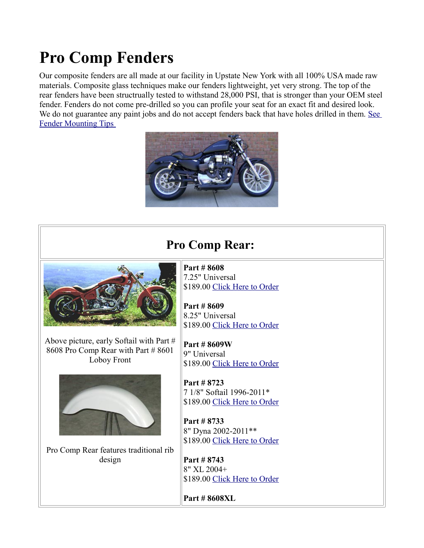## **Pro Comp Fenders**

Our composite fenders are all made at our facility in Upstate New York with all 100% USA made raw materials. Composite glass techniques make our fenders lightweight, yet very strong. The top of the rear fenders have been structrually tested to withstand 28,000 PSI, that is stronger than your OEM steel fender. Fenders do not come pre-drilled so you can profile your seat for an exact fit and desired look. We do not guarantee any paint jobs and do not accept fenders back that have holes drilled in them. See [Fender Mounting Tips](http://sumax.com/Instructions/Fender%20Mounting%20Tips.pdf) 



**Pro Comp Rear:** 



Above picture, early Softail with Part # 8608 Pro Comp Rear with Part # 8601 Loboy Front



Pro Comp Rear features traditional rib design

**Part # 8608** 7.25" Universal \$189.00 [Click Here to Order](http://sumax.stores.yahoo.net/725mountwidth.html)

**Part # 8609** 8.25" Universal \$189.00 [Click Here to Order](http://sumax.stores.yahoo.net/825mountwidth.html)

**Part # 8609W** 9" Universal \$189.00 [Click Here to Order](http://sumax.stores.yahoo.net/900mountwidth.html)

**Part # 8723**  7 1/8" Softail 1996-2011\* \$189.00 [Click Here to Order](http://sumax.stores.yahoo.net/new20fxmo.html)

**Part # 8733** 8" Dyna 2002-2011\*\* \$189.00 [Click Here to Order](http://sumax.stores.yahoo.net/new20dyfe1.html)

**Part # 8743** 8" XL 2004+ \$189.00 [Click Here to Order](http://sumax.stores.yahoo.net/ne20xlmo.html)

**Part # 8608XL**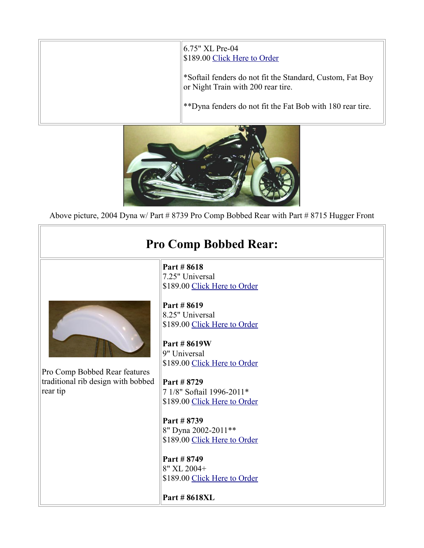| 6.75" XL Pre-04<br>\$189.00 Click Here to Order                                                 |
|-------------------------------------------------------------------------------------------------|
| *Softail fenders do not fit the Standard, Custom, Fat Boy<br>or Night Train with 200 rear tire. |
| **Dyna fenders do not fit the Fat Bob with 180 rear tire.                                       |



Above picture, 2004 Dyna w/ Part # 8739 Pro Comp Bobbed Rear with Part # 8715 Hugger Front

| Part #8618<br>7.25" Universal<br>\$189.00 Click Here to Order<br>Part #8619<br>8.25" Universal<br>\$189.00 Click Here to Order<br>Part #8619W<br>9" Universal<br>\$189.00 Click Here to Order<br>Pro Comp Bobbed Rear features<br>traditional rib design with bobbed<br>Part #8729<br>rear tip<br>7 1/8" Softail 1996-2011*<br>\$189.00 Click Here to Order<br>Part #8739<br>8" Dyna 2002-2011**<br>\$189.00 Click Here to Order<br>Part #8749<br>8" XL 2004+<br>\$189.00 Click Here to Order | <b>Pro Comp Bobbed Rear:</b> |              |
|-----------------------------------------------------------------------------------------------------------------------------------------------------------------------------------------------------------------------------------------------------------------------------------------------------------------------------------------------------------------------------------------------------------------------------------------------------------------------------------------------|------------------------------|--------------|
|                                                                                                                                                                                                                                                                                                                                                                                                                                                                                               |                              | Part #8618XL |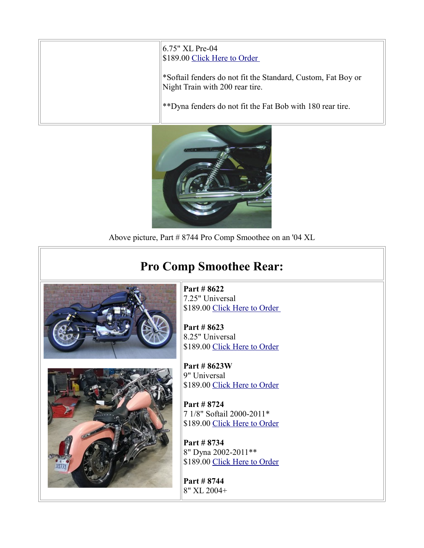| 6.75" XL Pre-04<br>\$189.00 Click Here to Order                                                 |
|-------------------------------------------------------------------------------------------------|
| *Softail fenders do not fit the Standard, Custom, Fat Boy or<br>Night Train with 200 rear tire. |
| **Dyna fenders do not fit the Fat Bob with 180 rear tire.                                       |



Above picture, Part # 8744 Pro Comp Smoothee on an '04 XL

## **Pro Comp Smoothee Rear:**



Ш

**Part # 8622** 7.25" Universal \$189.00 Click Here to Order

**Part # 8623** 8.25" Universal \$189.00 [Click Here to Order](http://sumax.stores.yahoo.net/825mountwidth2.html)

**Part # 8623W** 9" Universal \$189.00 [Click Here to Order](http://sumax.stores.yahoo.net/900mountwidth1.html)

**Part # 8724** 7 1/8" Softail 2000-2011\* \$189.00 [Click Here to Order](http://sumax.stores.yahoo.net/new20fxmo1.html)

**Part # 8734** 8" Dyna 2002-2011\*\* \$189.00 [Click Here to Order](http://sumax.stores.yahoo.net/new20dyfe.html)

**Part # 8744** 8" XL 2004+